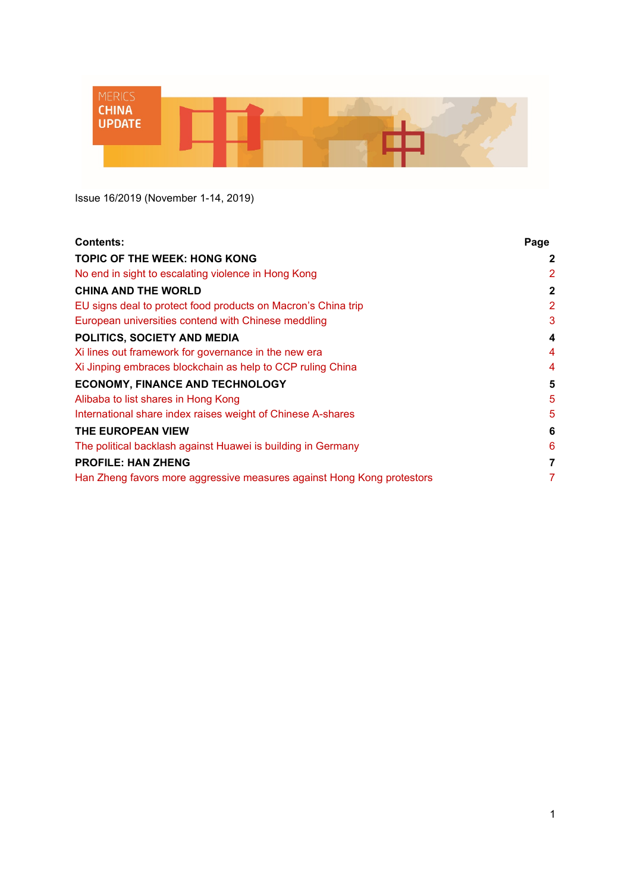

Issue 16/2019 (November 1-14, 2019)

| <b>Contents:</b>                                                       | Page         |
|------------------------------------------------------------------------|--------------|
| TOPIC OF THE WEEK: HONG KONG                                           | 2            |
| No end in sight to escalating violence in Hong Kong                    | 2            |
| <b>CHINA AND THE WORLD</b>                                             | $\mathbf{2}$ |
| EU signs deal to protect food products on Macron's China trip          | 2            |
| European universities contend with Chinese meddling                    | 3            |
| POLITICS, SOCIETY AND MEDIA                                            | 4            |
| Xi lines out framework for governance in the new era                   | 4            |
| Xi Jinping embraces blockchain as help to CCP ruling China             | 4            |
| <b>ECONOMY, FINANCE AND TECHNOLOGY</b>                                 | 5            |
| Alibaba to list shares in Hong Kong                                    | 5            |
| International share index raises weight of Chinese A-shares            | 5            |
| THE EUROPEAN VIEW                                                      | 6            |
| The political backlash against Huawei is building in Germany           | 6            |
| <b>PROFILE: HAN ZHENG</b>                                              | 7            |
| Han Zheng favors more aggressive measures against Hong Kong protestors | 7            |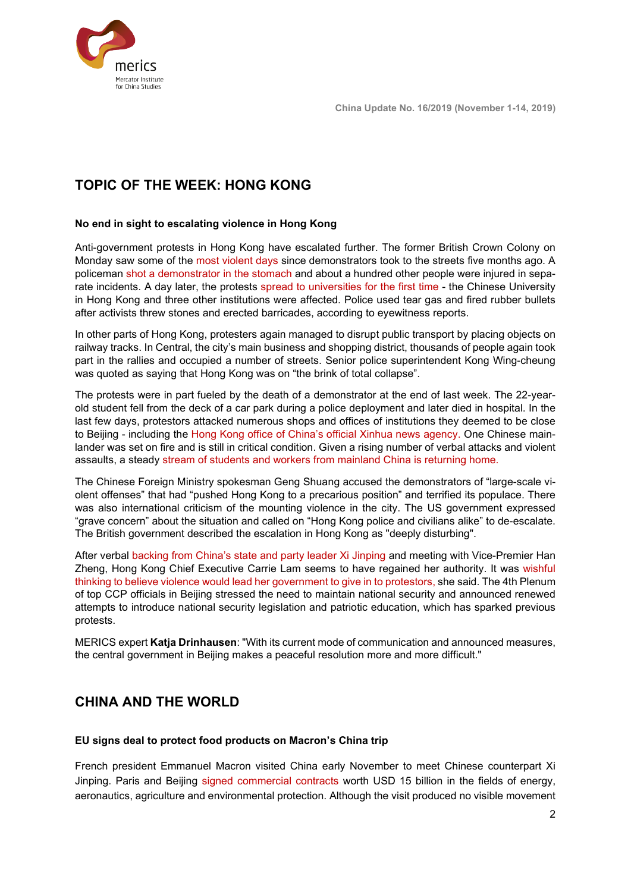

# <span id="page-1-0"></span>**TOPIC OF THE WEEK: HONG KONG**

#### <span id="page-1-1"></span>**No end in sight to escalating violence in Hong Kong**

Anti-government protests in Hong Kong have escalated further. The former British Crown Colony on Monday saw some of the [most violent days](https://www.scmp.com/news/hong-kong/politics/article/3037267/student-shot-and-man-set-ablaze-one-most-violent-days-hong) since demonstrators took to the streets five months ago. A policeman [shot a demonstrator in the stomach](https://www.theguardian.com/world/2019/nov/11/hong-kong-police-shoot-demonstrator-during-morning-rush-hour) and about a hundred other people were injured in separate incidents. A day later, the protests [spread to universities for the first time](https://www.scmp.com/news/hong-kong/politics/article/3037454/hong-kong-anti-government-protests-pitched-battles-campuses) - the Chinese University in Hong Kong and three other institutions were affected. Police used tear gas and fired rubber bullets after activists threw stones and erected barricades, according to eyewitness reports.

In other parts of Hong Kong, protesters again managed to disrupt public transport by placing objects on railway tracks. In Central, the city's main business and shopping district, thousands of people again took part in the rallies and occupied a number of streets. Senior police superintendent Kong Wing-cheung was quoted as saying that Hong Kong was on "the brink of total collapse".

The protests were in part fueled by the death of a demonstrator at the end of last week. The 22-yearold student fell from the deck of a car park during a police deployment and later died in hospital. In the last few days, protestors attacked numerous shops and offices of institutions they deemed to be close to Beijing - including the [Hong Kong office of China's official Xinhua news agency.](https://www.washingtonpost.com/world/asia_pacific/the-latest-hong-kong-protesters-vandalize-xinhua-office/2019/11/02/1be6a4b0-fd60-11e9-9e02-1d45cb3dfa8f_story.html) One Chinese mainlander was set on fire and is still in critical condition. Given a rising number of verbal attacks and violent assaults, a steady [stream of students and workers from mainland China is returning home.](https://www.scmp.com/news/hong-kong/politics/article/3037026/scores-chinese-students-flee-hong-kong-over-fears-they-will) 

The Chinese Foreign Ministry spokesman Geng Shuang accused the demonstrators of "large-scale violent offenses" that had "pushed Hong Kong to a precarious position" and terrified its populace. There was also international criticism of the mounting violence in the city. The US government expressed "grave concern" about the situation and called on "Hong Kong police and civilians alike" to de-escalate. The British government described the escalation in Hong Kong as "deeply disturbing".

After verbal [backing from China's state and party leader Xi Jinping](https://www.nytimes.com/2019/11/04/world/asia/china-xi-lam-hong-kong.html) and meeting with Vice-Premier Han Zheng, Hong Kong Chief Executive Carrie Lam seems to have regained her authority. It was [wishful](https://www.hongkongfp.com/2019/11/12/wishful-thinking-believe-hong-kong-govt-will-yield-protesters-demands-leader-carrie-lam-says/)  [thinking to believe violence would lead her government to give in to protestors,](https://www.hongkongfp.com/2019/11/12/wishful-thinking-believe-hong-kong-govt-will-yield-protesters-demands-leader-carrie-lam-says/) she said. The 4th Plenum of top CCP officials in Beijing stressed the need to maintain national security and announced renewed attempts to introduce national security legislation and patriotic education, which has sparked previous protests.

MERICS expert **Katja Drinhausen**: "With its current mode of communication and announced measures, the central government in Beijing makes a peaceful resolution more and more difficult."

## <span id="page-1-2"></span>**CHINA AND THE WORLD**

#### <span id="page-1-3"></span>**EU signs deal to protect food products on Macron's China trip**

French president Emmanuel Macron visited China early November to meet Chinese counterpart Xi Jinping. Paris and Beijing [signed commercial contracts](https://www.reuters.com/article/us-china-france-macron/china-and-france-sign-deals-worth-15-billion-during-macrons-visit-chinese-official-idUSKBN1XG0NM) worth USD 15 billion in the fields of energy, aeronautics, agriculture and environmental protection. Although the visit produced no visible movement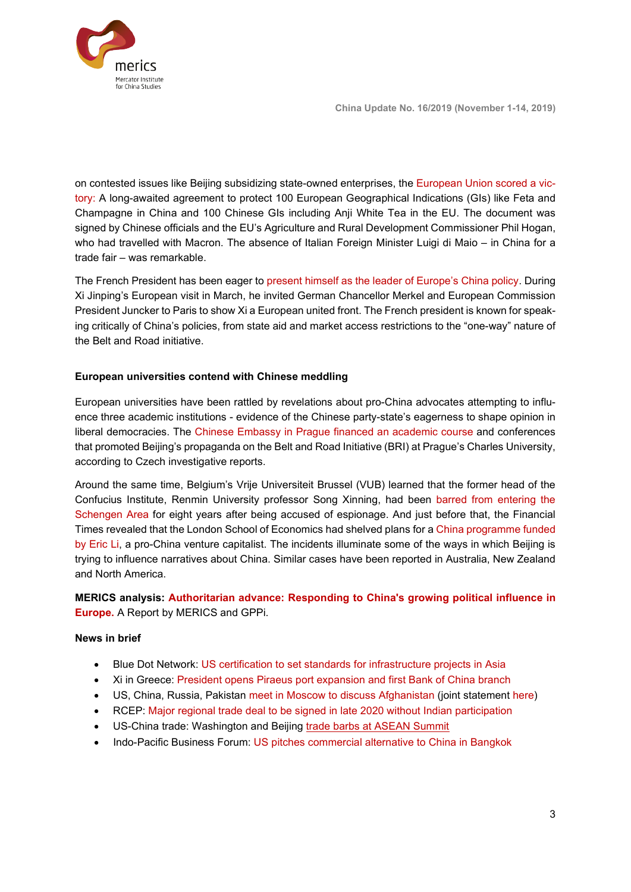**China Update No. 16/2019 (November 1-14, 2019)**



on contested issues like Beijing subsidizing state-owned enterprises, the [European Union scored a vic](https://www.scmp.com/news/china/diplomacy/article/3036691/french-president-emmanuel-macrons-visit-china-was-success-more)[tory:](https://www.scmp.com/news/china/diplomacy/article/3036691/french-president-emmanuel-macrons-visit-china-was-success-more) A long-awaited agreement to protect 100 European Geographical Indications (GIs) like Feta and Champagne in China and 100 Chinese GIs including Anji White Tea in the EU. The document was signed by Chinese officials and the EU's Agriculture and Rural Development Commissioner Phil Hogan, who had travelled with Macron. The absence of Italian Foreign Minister Luigi di Maio – in China for a trade fair – was remarkable.

The French President has been eager to [present himself as the leader of Europe's China policy.](https://www.bloomberg.com/news/articles/2019-11-06/macron-xi-pledge-to-uphold-free-trade-during-china-visit) During Xi Jinping's European visit in March, he invited German Chancellor Merkel and European Commission President Juncker to Paris to show Xi a European united front. The French president is known for speaking critically of China's policies, from state aid and market access restrictions to the "one-way" nature of the Belt and Road initiative.

## <span id="page-2-0"></span>**European universities contend with Chinese meddling**

European universities have been rattled by revelations about pro-China advocates attempting to influence three academic institutions - evidence of the Chinese party-state's eagerness to shape opinion in liberal democracies. The [Chinese Embassy in Prague financed an academic course](https://www.euractiv.com/section/politics/news/china-funded-propaganda-course-at-czech-university/) and conferences that promoted Beijing's propaganda on the Belt and Road Initiative (BRI) at Prague's Charles University, according to Czech investigative reports.

Around the same time, Belgium's Vrije Universiteit Brussel (VUB) learned that the former head of the Confucius Institute, Renmin University professor Song Xinning, had been [barred from entering the](https://www.scmp.com/news/china/diplomacy/article/3035627/chinese-professor-accused-spying-belgium-barred-entering)  [Schengen Area](https://www.scmp.com/news/china/diplomacy/article/3035627/chinese-professor-accused-spying-belgium-barred-entering) for eight years after being accused of espionage. And just before that, the Financial Times revealed that the London School of Economics had shelved plans for a [China programme funded](https://www.ft.com/content/ba8645ca-016c-11ea-b7bc-f3fa4e77dd47)  [by Eric Li,](https://www.ft.com/content/ba8645ca-016c-11ea-b7bc-f3fa4e77dd47) a pro-China venture capitalist. The incidents illuminate some of the ways in which Beijing is trying to influence narratives about China. Similar cases have been reported in Australia, New Zealand and North America.

## **MERICS analysis: [Authoritarian advance: Responding to China's growing political influence in](https://www.merics.org/en/publications/authoritarian-advance)  [Europe.](https://www.merics.org/en/publications/authoritarian-advance)** A Report by MERICS and GPPi.

### **News in brief**

- Blue Dot Network: [US certification to set standards for infrastructure projects in Asia](https://www.ft.com/content/5c0a6226-fed1-11e9-b7bc-f3fa4e77dd47)
- Xi in Greece: President opens Piraeus port expansion and first Bank of China branch
- US, China, Russia, Pakistan meet [in Moscow to discuss Afghanistan](https://apnews.com/d1544080da0a4444b29e2c191730ae68) (joint statement [here\)](https://www.state.gov/u-s-russia-china-and-pakistan-joint-statement-on-peace-in-afghanistan/)
- RCEP: Major [regional trade deal to be signed in late 2020 without Indian participation](https://www.straitstimes.com/asia/se-asia/india-rejects-rcep-as-15-other-countries-look-to-sign-trade-pact-in-2020)
- US-China trade: Washington and Beijing [trade barbs at ASEAN Summit](https://apnews.com/8d35d47a368b41e19be8718cba220ef2)
- Indo-Pacific Business Forum: US pitches commercial alternative to China in Bangkok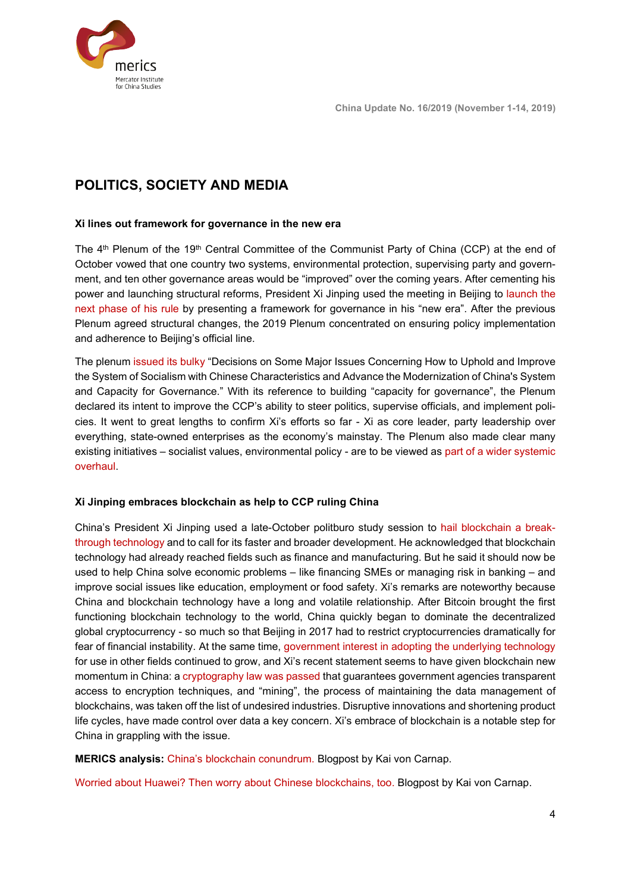

# <span id="page-3-0"></span>**POLITICS, SOCIETY AND MEDIA**

#### <span id="page-3-1"></span>**Xi lines out framework for governance in the new era**

The 4<sup>th</sup> Plenum of the 19<sup>th</sup> Central Committee of the Communist Party of China (CCP) at the end of October vowed that one country two systems, environmental protection, supervising party and government, and ten other governance areas would be "improved" over the coming years. After cementing his power and launching structural reforms, President Xi Jinping used the meeting in Beijing to [launch the](https://www.hongkongfp.com/2019/11/06/chinas-latest-political-reforms-consolidating-xi-jinpings-power-liberalisation/)  [next phase of his rule](https://www.hongkongfp.com/2019/11/06/chinas-latest-political-reforms-consolidating-xi-jinpings-power-liberalisation/) by presenting a framework for governance in his "new era". After the previous Plenum agreed structural changes, the 2019 Plenum concentrated on ensuring policy implementation and adherence to Beijing's official line.

The plenum [issued its bulky](https://www.chinabusinessreview.com/five-takeaways-from-chinas-fourth-plenum/) "Decisions on Some Major Issues Concerning How to Uphold and Improve the System of Socialism with Chinese Characteristics and Advance the Modernization of China's System and Capacity for Governance." With its reference to building "capacity for governance", the Plenum declared its intent to improve the CCP's ability to steer politics, supervise officials, and implement policies. It went to great lengths to confirm Xi's efforts so far - Xi as core leader, party leadership over everything, state-owned enterprises as the economy's mainstay. The Plenum also made clear many existing initiatives – socialist values, environmental policy - are to be viewed as part of a wider systemic overhaul.

#### <span id="page-3-2"></span>**Xi Jinping embraces blockchain as help to CCP ruling China**

China's President Xi Jinping used a late-October politburo study session to [hail blockchain a break](https://www.trendingtopics.at/xi-jinping-china-blockchain/)[through technology](https://www.trendingtopics.at/xi-jinping-china-blockchain/) and to call for its faster and broader development. He acknowledged that blockchain technology had already reached fields such as finance and manufacturing. But he said it should now be used to help China solve economic problems – like financing SMEs or managing risk in banking – and improve social issues like education, employment or food safety. Xi's remarks are noteworthy because China and blockchain technology have a long and volatile relationship. After Bitcoin brought the first functioning blockchain technology to the world, China quickly began to dominate the decentralized global cryptocurrency - so much so that Beijing in 2017 had to restrict cryptocurrencies dramatically for fear of financial instability. At the same time, [government interest in adopting the underlying technology](https://qz.com/838589/chinas-central-bank-is-hiring-blockchain-experts-to-help-it-kill-off-cash/) for use in other fields continued to grow, and Xi's recent statement seems to have given blockchain new momentum in China: [a cryptography law was passed](https://www.chinalawblog.com/2019/11/chinas-new-cryptography-law-still-no-place-to-hide.html) that guarantees government agencies transparent access to encryption techniques, and "mining", the process of maintaining the data management of blockchains, was taken off the list of undesired industries. Disruptive innovations and shortening product life cycles, have made control over data a key concern. Xi's embrace of blockchain is a notable step for China in grappling with the issue.

**MERICS analysis:** [China's blockchain conundrum. B](https://www.merics.org/en/blog/chinas-blockchain-conundrum)logpost by Kai von Carnap.

[Worried about Huawei? Then worry about Chinese blockchains, too.](https://www.merics.org/en/blog/worried-about-huawei-then-worry-about-chinese-blockchains-too) Blogpost by Kai von Carnap.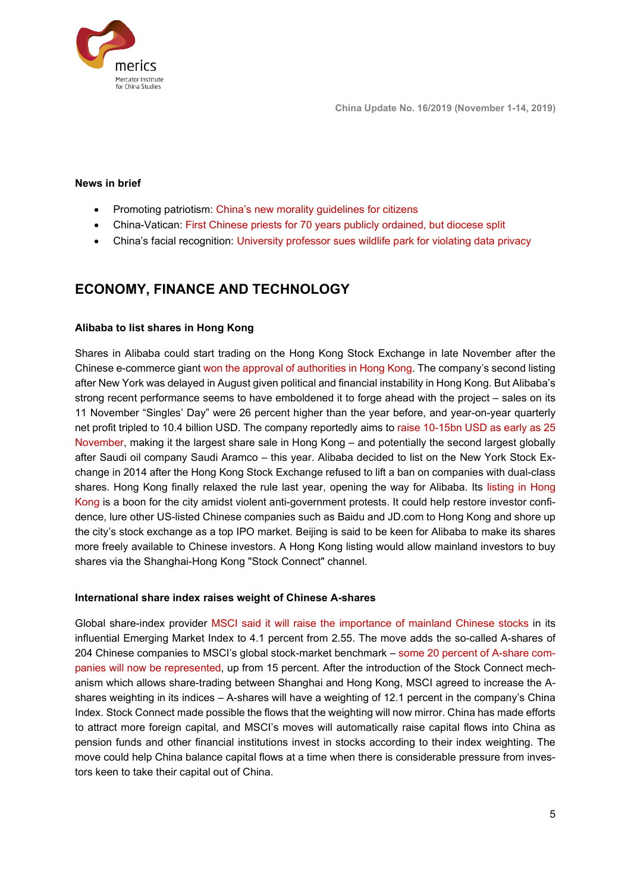

#### **News in brief**

- Promoting patriotism: [China's new morality guidelines for citizens](https://www.theguardian.com/world/2019/oct/29/defend-chinas-honour-beijing-releases-new-morality-guidelines-for-citizens)
- China-Vatican: [First Chinese priests for 70 years publicly ordained, but diocese split](http://www.asianews.it/news-en/Mindong,-first-priestly-ordinations-after-Sino-Vatican-agreement.-Msgr.-Guo-Xijin-absent-(Photos)--48412.html)
- China's facial recognition: University professor sues [wildlife park for violating data privacy](https://www.bbc.com/news/world-asia-china-50324342)

## <span id="page-4-0"></span>**ECONOMY, FINANCE AND TECHNOLOGY**

#### <span id="page-4-1"></span>**Alibaba to list shares in Hong Kong**

Shares in Alibaba could start trading on the Hong Kong Stock Exchange in late November after the Chinese e-commerce giant [won the approval of authorities in Hong Kong.](https://www.ft.com/content/0147cfb6-05a9-11ea-a984-fbbacad9e7dd) The company's second listing after New York was delayed in August given political and financial instability in Hong Kong. But Alibaba's strong recent performance seems to have emboldened it to forge ahead with the project – sales on its 11 November "Singles' Day" were 26 percent higher than the year before, and year-on-year quarterly net profit tripled to 10.4 billion USD. The company reportedly aims to raise [10-15bn USD as early as 25](https://www.ft.com/content/0147cfb6-05a9-11ea-a984-fbbacad9e7dd)  [November,](https://www.ft.com/content/0147cfb6-05a9-11ea-a984-fbbacad9e7dd) making it the largest share sale in Hong Kong – and potentially the second largest globally after Saudi oil company Saudi Aramco – this year. Alibaba decided to list on the New York Stock Exchange in 2014 after the Hong Kong Stock Exchange refused to lift a ban on companies with dual-class shares. Hong Kong finally relaxed the rule last year, opening the way for Alibaba. Its [listing in Hong](https://asia.nikkei.com/Business/China-tech/Why-is-Alibaba-listing-in-Hong-Kong-if-it-doesn-t-need-money)  [Kong](https://asia.nikkei.com/Business/China-tech/Why-is-Alibaba-listing-in-Hong-Kong-if-it-doesn-t-need-money) is a boon for the city amidst violent anti-government protests. It could help restore investor confidence, lure other US-listed Chinese companies such as Baidu and JD.com to Hong Kong and shore up the city's stock exchange as a top IPO market. Beijing is said to be keen for Alibaba to make its shares more freely available to Chinese investors. A Hong Kong listing would allow mainland investors to buy shares via the Shanghai-Hong Kong "Stock Connect" channel.

#### <span id="page-4-2"></span>**International share index raises weight of Chinese A-shares**

Global share-index provider [MSCI said it will raise the importance of mainland Chinese stocks](https://www.caixinglobal.com/2019-11-08/msci-increases-weighting-of-china-a-shares-in-indexes-to-20-101480903.html) in its influential Emerging Market Index to 4.1 percent from 2.55. The move adds the so-called A-shares of 204 Chinese companies to MSCI's global stock-market benchmark – [some 20 percent of A-share com](https://www.reuters.com/article/us-msci-china/china-local-shares-to-rise-above-4-weight-in-msci-em-benchmark-idUSKBN1XH2XC)[panies will now be represented,](https://www.reuters.com/article/us-msci-china/china-local-shares-to-rise-above-4-weight-in-msci-em-benchmark-idUSKBN1XH2XC) up from 15 percent. After the introduction of the Stock Connect mechanism which allows share-trading between Shanghai and Hong Kong, MSCI agreed to increase the Ashares weighting in its indices – A-shares will have a weighting of 12.1 percent in the company's China Index. Stock Connect made possible the flows that the weighting will now mirror. China has made efforts to attract more foreign capital, and MSCI's moves will automatically raise capital flows into China as pension funds and other financial institutions invest in stocks according to their index weighting. The move could help China balance capital flows at a time when there is considerable pressure from investors keen to take their capital out of China.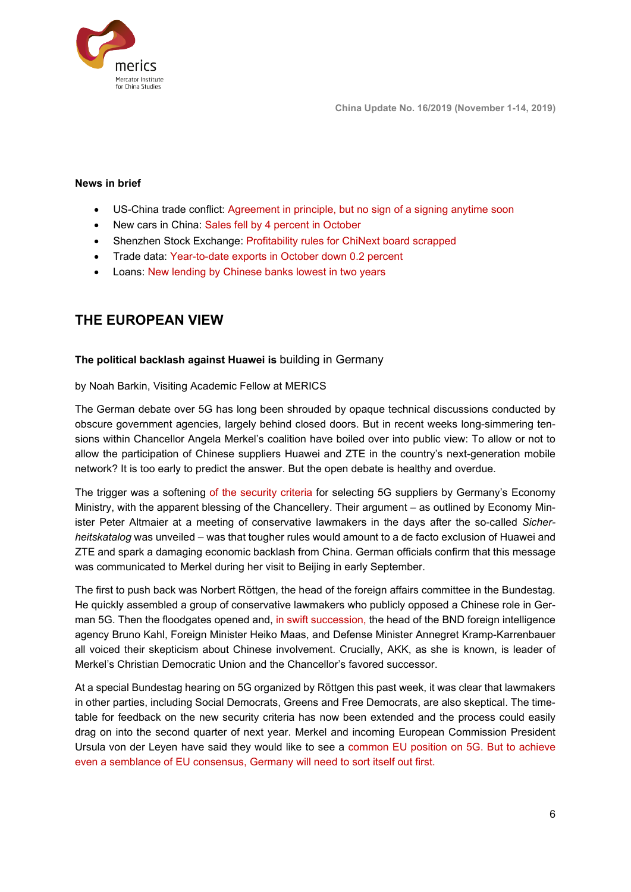



### **News in brief**

- US-China trade conflict: Agreement in principle, [but no sign of a signing anytime soon](https://www.scmp.com/economy/china-economy/article/3036746/china-and-us-agree-phased-rollback-extra-trade-war-tariffs)
- New cars in China: Sales fell by 4 percent in October
- Shenzhen Stock Exchange: Profitability rules for ChiNext [board scrapped](https://www.ft.com/content/4589b484-021e-11ea-b7bc-f3fa4e77dd47)
- Trade data: [Year-to-date exports in October down 0.2 percent](http://data.stats.gov.cn/english/easyquery.htm?cn=A01)
- Loans: [New lending by Chinese banks lowest in two years](https://www.scmp.com/economy/china-economy/article/3037241/chinas-new-bank-loans-drop-lowest-level-almost-two-years)

## <span id="page-5-0"></span>**THE EUROPEAN VIEW**

#### <span id="page-5-1"></span>**The political backlash against Huawei is** building in Germany

by Noah Barkin, Visiting Academic Fellow at MERICS

The German debate over 5G has long been shrouded by opaque technical discussions conducted by obscure government agencies, largely behind closed doors. But in recent weeks long-simmering tensions within Chancellor Angela Merkel's coalition have boiled over into public view: To allow or not to allow the participation of Chinese suppliers Huawei and ZTE in the country's next-generation mobile network? It is too early to predict the answer. But the open debate is healthy and overdue.

The trigger was a softening [of the security criteria](https://www.scmp.com/news/china/diplomacy/article/3033254/germanys-proposal-5g-network-security-leaves-door-open-chinas) for selecting 5G suppliers by Germany's Economy Ministry, with the apparent blessing of the Chancellery. Their argument – as outlined by Economy Minister Peter Altmaier at a meeting of conservative lawmakers in the days after the so-called *[Sicher](https://www.bundesnetzagentur.de/SharedDocs/Downloads/DE/Sachgebiete/Telekommunikation/Unternehmen_Institutionen/Anbieterpflichten/OeffentlicheSicherheit/KatalogSicherheitsanforderungen/KatalogSicherheitsanforderungen2.pdf?__blob=publicationFile&v=2)[heitskatalog](https://www.bundesnetzagentur.de/SharedDocs/Downloads/DE/Sachgebiete/Telekommunikation/Unternehmen_Institutionen/Anbieterpflichten/OeffentlicheSicherheit/KatalogSicherheitsanforderungen/KatalogSicherheitsanforderungen2.pdf?__blob=publicationFile&v=2)* was unveiled – was that tougher rules would amount to a de facto exclusion of Huawei and ZTE and spark a damaging economic backlash from China. German officials confirm that this message was communicated to Merkel during [her visit to Beijing](https://www.merics.org/en/blog/vulnerable-germany-finds-it-hard-say-no-china) in early September.

The first to push back was Norbert Röttgen, the head of the foreign affairs committee in the Bundestag. He quickly assembled a group of conservative lawmakers who publicly opposed a Chinese role in German 5G. Then the floodgates opened and, [in swift succession,](https://www.ft.com/content/f97731da-fa6f-11e9-a354-36acbbb0d9b6) the head of the BND foreign intelligence agency Bruno Kahl, Foreign Minister [Heiko Maas,](https://www.reuters.com/article/us-germany-telecoms-5g/german-minister-casts-doubt-on-huawei-participation-in-5g-build-out-idUSKBN1XE2EB) and Defense Minister Annegret Kramp-Karrenbauer all voiced their skepticism about Chinese involvement. Crucially, AKK, as she is known, is leader of Merkel's Christian Democratic Union and the Chancellor's favored successor.

At a special Bundestag hearing on 5G organized by Röttgen this past week, it was clear that lawmakers in other parties, including Social Democrats, Greens and Free Democrats, are also skeptical. The timetable for feedback on the new security criteria has now been extended and the process could easily drag on into the second quarter of next year. Merkel and incoming European Commission President Ursula von der Leyen have said they would like to see a [common EU position](https://de.reuters.com/article/deutschland-huawei-idDEKBN1XI1KS) on 5G. But to achieve even a semblance of EU consensus, Germany will need to sort itself out first.